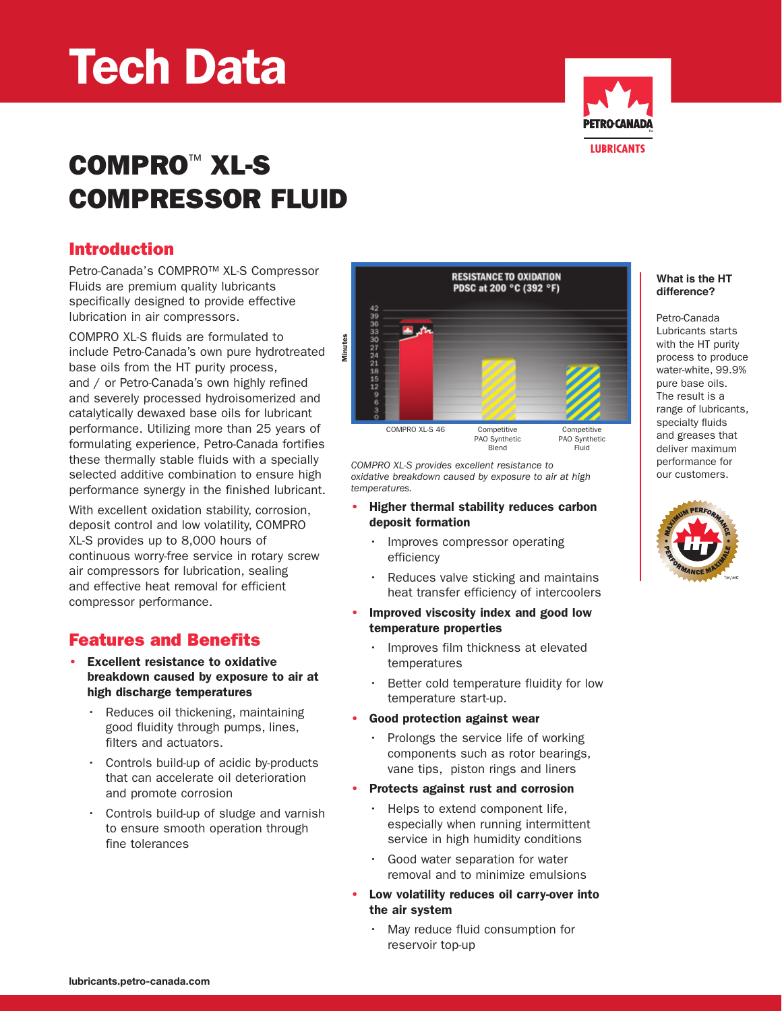# Tech Data



# COMPRO™ XL-S Compressor Fluid

#### Introduction

Petro-Canada's COMPRO™ XL-S Compressor Fluids are premium quality lubricants specifically designed to provide effective lubrication in air compressors.

Compro XL-S fluids are formulated to include Petro-Canada's own pure hydrotreated base oils from the HT purity process, and / or Petro-Canada's own highly refined and severely processed hydroisomerized and catalytically dewaxed base oils for lubricant performance. Utilizing more than 25 years of formulating experience, Petro-Canada fortifies these thermally stable fluids with a specially selected additive combination to ensure high performance synergy in the finished lubricant.

With excellent oxidation stability, corrosion, deposit control and low volatility, COMPRO XL-S provides up to 8,000 hours of continuous worry-free service in rotary screw air compressors for lubrication, sealing and effective heat removal for efficient compressor performance.

#### Features and Benefits

- **Excellent resistance to oxidative** breakdown caused by exposure to air at high discharge temperatures
	- Reduces oil thickening, maintaining good fluidity through pumps, lines, filters and actuators.
	- • Controls build-up of acidic by-products that can accelerate oil deterioration and promote corrosion
	- • Controls build-up of sludge and varnish to ensure smooth operation through fine tolerances



*COMPRO XL-S provides excellent resistance to oxidative breakdown caused by exposure to air at high temperatures.*

- Higher thermal stability reduces carbon deposit formation
	- Improves compressor operating efficiency
	- Reduces valve sticking and maintains heat transfer efficiency of intercoolers
- Improved viscosity index and good low temperature properties
	- Improves film thickness at elevated temperatures
	- Better cold temperature fluidity for low temperature start-up.
	- Good protection against wear
	- Prolongs the service life of working components such as rotor bearings, vane tips, piston rings and liners
	- Protects against rust and corrosion
	- Helps to extend component life, especially when running intermittent service in high humidity conditions
	- Good water separation for water removal and to minimize emulsions
- Low volatility reduces oil carry-over into the air system
	- May reduce fluid consumption for reservoir top-up

#### **What is the HT difference?**

Petro-Canada Lubricants starts with the HT purity process to produce water-white, 99.9% pure base oils. The result is a range of lubricants, specialty fluids and greases that deliver maximum performance for our customers.

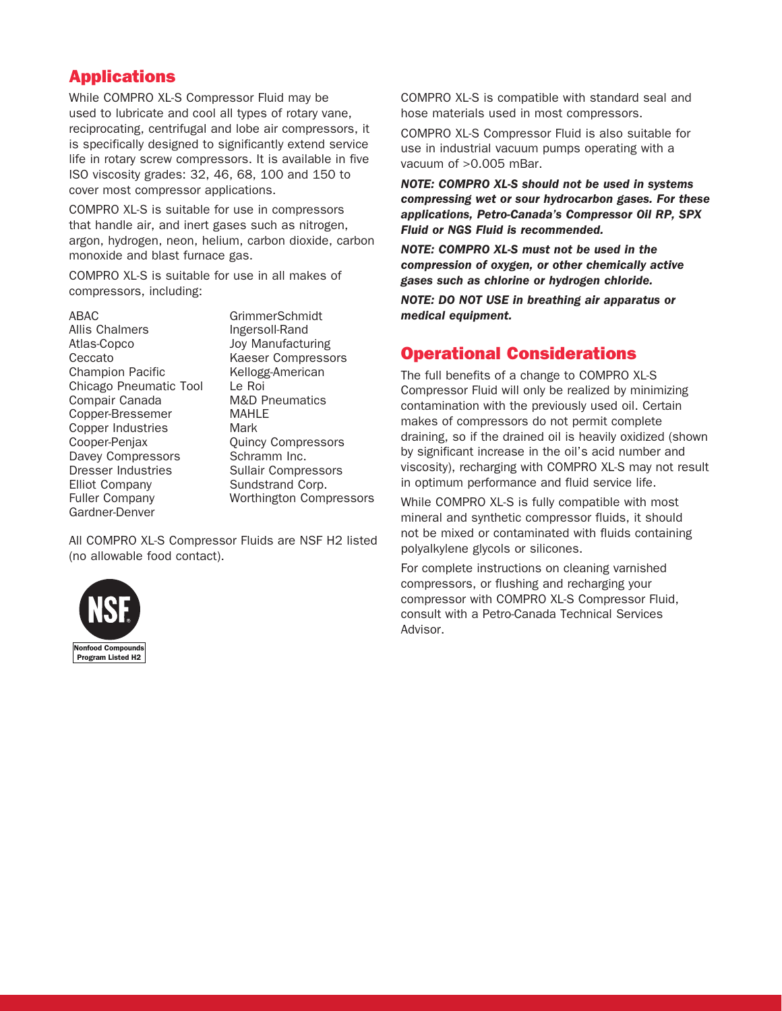#### Applications

While COMPRO XL-S Compressor Fluid may be used to lubricate and cool all types of rotary vane, reciprocating, centrifugal and lobe air compressors, it is specifically designed to significantly extend service life in rotary screw compressors. It is available in five ISO viscosity grades: 32, 46, 68, 100 and 150 to cover most compressor applications.

COMPRO XL-S is suitable for use in compressors that handle air, and inert gases such as nitrogen, argon, hydrogen, neon, helium, carbon dioxide, carbon monoxide and blast furnace gas.

COMPRO XL-S is suitable for use in all makes of compressors, including:

#### ABAC

| Allis Chalmers            |                 |
|---------------------------|-----------------|
| Atlas-Copco               |                 |
| Ceccato                   | ŀ               |
| <b>Champion Pacific</b>   |                 |
| Chicago Pneumatic Tool    |                 |
| Compair Canada            | P               |
| Copper-Bressemer          |                 |
| <b>Copper Industries</b>  | ľ               |
| Cooper-Penjax             |                 |
| Davey Compressors         |                 |
| <b>Dresser Industries</b> | $\tilde{\zeta}$ |
| <b>Elliot Company</b>     |                 |
| <b>Fuller Company</b>     |                 |
| Gardner-Denver            |                 |
|                           |                 |

GrimmerSchmidt Ingersoll-Rand oy Manufacturing Kaeser Compressors Kellogg-American Le Roi M&D Pneumatics MAHLE Mark Quincy Compressors Schramm Inc. Sullair Compressors Sundstrand Corp. Worthington Compressors

All COMPRO XL-S Compressor Fluids are NSF H2 listed (no allowable food contact).



COMPRO XL-S is compatible with standard seal and hose materials used in most compressors.

COMPRO XL-S Compressor Fluid is also suitable for use in industrial vacuum pumps operating with a vacuum of >0.005 mBar.

*NOTE: COMPRO XL-S should not be used in systems compressing wet or sour hydrocarbon gases. For these applications, Petro-Canada's Compressor Oil RP, SPX Fluid or NGS Fluid is recommended.*

*NOTE: COMPRO XL-S must not be used in the compression of oxygen, or other chemically active gases such as chlorine or hydrogen chloride.*

*NOTE: DO NOT USE in breathing air apparatus or medical equipment.* 

#### Operational Considerations

The full benefits of a change to COMPRO XL-S Compressor Fluid will only be realized by minimizing contamination with the previously used oil. Certain makes of compressors do not permit complete draining, so if the drained oil is heavily oxidized (shown by significant increase in the oil's acid number and viscosity), recharging with COMPRO XL-S may not result in optimum performance and fluid service life.

While COMPRO XL-S is fully compatible with most mineral and synthetic compressor fluids, it should not be mixed or contaminated with fluids containing polyalkylene glycols or silicones.

For complete instructions on cleaning varnished compressors, or flushing and recharging your compressor with COMPRO XL-S Compressor Fluid, consult with a Petro-Canada Technical Services Advisor.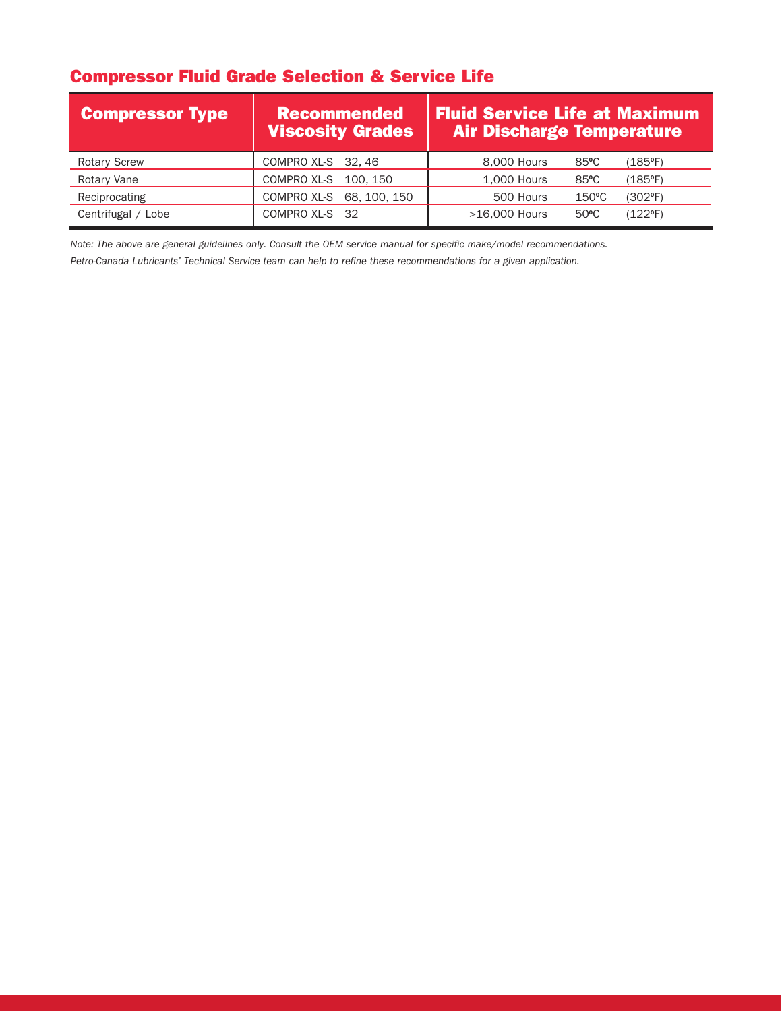### Compressor Fluid Grade Selection & Service Life

| <b>Compressor Type</b> | <b>Recommended</b><br>Viscosity Grades | <b>Fluid Service Life at Maximum</b><br><b>Air Discharge Temperature</b> |
|------------------------|----------------------------------------|--------------------------------------------------------------------------|
| <b>Rotary Screw</b>    | COMPRO XL-S 32, 46                     | 8,000 Hours<br>$85^{\circ}$ C<br>$(185^{\circ}F)$                        |
| Rotary Vane            | COMPRO XL-S 100, 150                   | 1,000 Hours<br>$85^{\circ}$ C<br>$(185^{\circ}F)$                        |
| Reciprocating          | COMPRO XL-S 68, 100, 150               | 500 Hours<br>$150^{\circ}$ C<br>$(302^{\circ}F)$                         |
| Centrifugal / Lobe     | COMPRO XL-S 32                         | >16,000 Hours<br>$(122^{\circ}F)$<br>$50^{\circ}$ C                      |

*Note: The above are general guidelines only. Consult the OEM service manual for specific make/model recommendations.*

*Petro-Canada Lubricants' Technical Service team can help to refine these recommendations for a given application.*